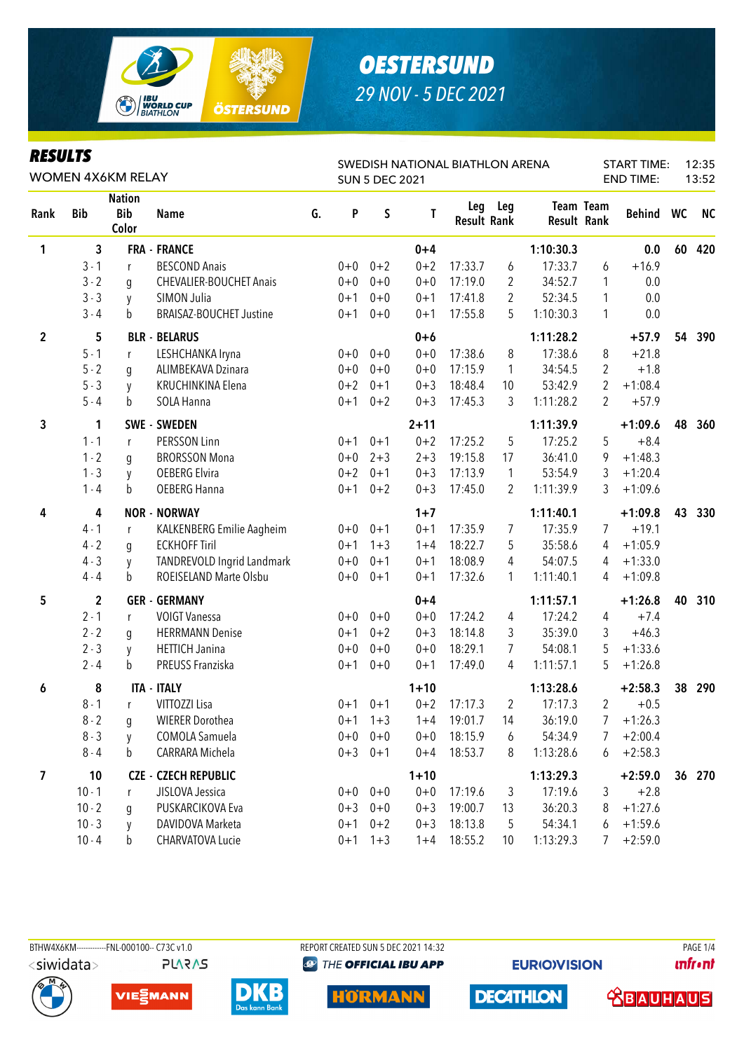

#### **RESULTS**

| KESULIS<br>WOMEN 4X6KM RELAY |              |                                      |                                |    | SWEDISH NATIONAL BIATHLON ARENA<br><b>SUN 5 DEC 2021</b> |           |          |                           |                |                    |                  | 12:35<br><b>START TIME:</b><br><b>END TIME:</b><br>13:52 |    |           |  |
|------------------------------|--------------|--------------------------------------|--------------------------------|----|----------------------------------------------------------|-----------|----------|---------------------------|----------------|--------------------|------------------|----------------------------------------------------------|----|-----------|--|
| Rank                         | <b>Bib</b>   | <b>Nation</b><br><b>Bib</b><br>Color | <b>Name</b>                    | G. | P                                                        | $\sf S$   | Т        | Leg<br><b>Result Rank</b> | Leg            | <b>Result Rank</b> | <b>Team Team</b> | Behind WC                                                |    | <b>NC</b> |  |
| 1                            | 3            |                                      | <b>FRA - FRANCE</b>            |    |                                                          |           | $0 + 4$  |                           |                | 1:10:30.3          |                  | 0.0                                                      | 60 | 420       |  |
|                              | $3 - 1$      | r                                    | <b>BESCOND Anais</b>           |    | $0 + 0$                                                  | $0 + 2$   | $0 + 2$  | 17:33.7                   | 6              | 17:33.7            | 6                | $+16.9$                                                  |    |           |  |
|                              | $3 - 2$      | g                                    | CHEVALIER-BOUCHET Anais        |    | $0+0$                                                    | $0 + 0$   | $0 + 0$  | 17:19.0                   | 2              | 34:52.7            | 1                | 0.0                                                      |    |           |  |
|                              | $3 - 3$      | y                                    | SIMON Julia                    |    | $0 + 1$                                                  | $0 + 0$   | $0 + 1$  | 17:41.8                   | $\overline{2}$ | 52:34.5            | 1                | 0.0                                                      |    |           |  |
|                              | $3 - 4$      | b                                    | <b>BRAISAZ-BOUCHET Justine</b> |    | $0 + 1$                                                  | $0 + 0$   | $0 + 1$  | 17:55.8                   | 5              | 1:10:30.3          | 1                | 0.0                                                      |    |           |  |
| $\overline{2}$               | 5            |                                      | <b>BLR - BELARUS</b>           |    |                                                          |           | $0+6$    |                           |                | 1:11:28.2          |                  | $+57.9$                                                  | 54 | 390       |  |
|                              | $5 - 1$      | r                                    | LESHCHANKA Iryna               |    | $0+0$                                                    | $0 + 0$   | $0 + 0$  | 17:38.6                   | 8              | 17:38.6            | 8                | $+21.8$                                                  |    |           |  |
|                              | $5 - 2$      | g                                    | ALIMBEKAVA Dzinara             |    | $0+0$                                                    | $0 + 0$   | $0 + 0$  | 17:15.9                   | $\mathbf{1}$   | 34:54.5            | 2                | $+1.8$                                                   |    |           |  |
|                              | $5 - 3$      | y                                    | KRUCHINKINA Elena              |    | $0 + 2$                                                  | $0 + 1$   | $0 + 3$  | 18:48.4                   | 10             | 53:42.9            | 2                | $+1:08.4$                                                |    |           |  |
|                              | $5 - 4$      | b                                    | SOLA Hanna                     |    | $0 + 1$                                                  | $0 + 2$   | $0 + 3$  | 17:45.3                   | 3              | 1:11:28.2          | 2                | $+57.9$                                                  |    |           |  |
| 3                            | 1            |                                      | SWE - SWEDEN                   |    |                                                          |           | $2 + 11$ |                           |                | 1:11:39.9          |                  | $+1:09.6$                                                | 48 | 360       |  |
|                              | $1 - 1$      | r                                    | PERSSON Linn                   |    | $0 + 1$                                                  | $0 + 1$   | $0 + 2$  | 17:25.2                   | 5              | 17:25.2            | 5                | $+8.4$                                                   |    |           |  |
|                              | $1 - 2$      | g                                    | <b>BRORSSON Mona</b>           |    | $0+0$                                                    | $2 + 3$   | $2 + 3$  | 19:15.8                   | 17             | 36:41.0            | 9                | $+1:48.3$                                                |    |           |  |
|                              | $1 - 3$      | y                                    | <b>OEBERG Elvira</b>           |    | $0 + 2$                                                  | $0 + 1$   | $0 + 3$  | 17:13.9                   | $\mathbf{1}$   | 53:54.9            | 3                | $+1:20.4$                                                |    |           |  |
|                              | $1 - 4$      | b                                    | <b>OEBERG Hanna</b>            |    | $0 + 1$                                                  | $0 + 2$   | $0 + 3$  | 17:45.0                   | 2              | 1:11:39.9          | 3                | $+1:09.6$                                                |    |           |  |
| 4                            | 4            |                                      | <b>NOR - NORWAY</b>            |    |                                                          |           | $1 + 7$  |                           |                | 1:11:40.1          |                  | $+1:09.8$                                                | 43 | 330       |  |
|                              | $4 - 1$      | r                                    | KALKENBERG Emilie Aagheim      |    | $0+0$                                                    | $0 + 1$   | $0 + 1$  | 17:35.9                   | 7              | 17:35.9            | 7                | $+19.1$                                                  |    |           |  |
|                              | $4 - 2$      | g                                    | <b>ECKHOFF Tiril</b>           |    | $0 + 1$                                                  | $1 + 3$   | $1 + 4$  | 18:22.7                   | 5              | 35:58.6            | 4                | $+1:05.9$                                                |    |           |  |
|                              | $4 - 3$      | y                                    | TANDREVOLD Ingrid Landmark     |    | $0 + 0$                                                  | $0 + 1$   | $0 + 1$  | 18:08.9                   | 4              | 54:07.5            | 4                | $+1:33.0$                                                |    |           |  |
|                              | $4 - 4$      | b                                    | ROEISELAND Marte Olsbu         |    | $0+0$                                                    | $0 + 1$   | $0 + 1$  | 17:32.6                   | 1              | 1:11:40.1          | 4                | $+1:09.8$                                                |    |           |  |
| 5                            | $\mathbf{2}$ |                                      | <b>GER - GERMANY</b>           |    |                                                          |           | $0 + 4$  |                           |                | 1:11:57.1          |                  | $+1:26.8$                                                | 40 | 310       |  |
|                              | $2 - 1$      | r                                    | <b>VOIGT Vanessa</b>           |    | $0+0$                                                    | $0 + 0$   | $0 + 0$  | 17:24.2                   | 4              | 17:24.2            | 4                | $+7.4$                                                   |    |           |  |
|                              | $2 - 2$      | g                                    | <b>HERRMANN Denise</b>         |    | $0 + 1$                                                  | $0 + 2$   | $0 + 3$  | 18:14.8                   | 3              | 35:39.0            | 3                | $+46.3$                                                  |    |           |  |
|                              | $2 - 3$      | y                                    | <b>HETTICH Janina</b>          |    | $0 + 0$                                                  | $0 + 0$   | $0 + 0$  | 18:29.1                   | 7              | 54:08.1            | 5                | $+1:33.6$                                                |    |           |  |
|                              | $2 - 4$      | b                                    | PREUSS Franziska               |    | $0 + 1$                                                  | $0 + 0$   | $0 + 1$  | 17:49.0                   | 4              | 1:11:57.1          | 5                | $+1:26.8$                                                |    |           |  |
| 6                            | 8            |                                      | <b>ITA - ITALY</b>             |    |                                                          |           | $1 + 10$ |                           |                | 1:13:28.6          |                  | $+2:58.3$                                                | 38 | 290       |  |
|                              | $8 - 1$      | r                                    | VITTOZZI Lisa                  |    |                                                          | $0+1$ 0+1 | $0 + 2$  | 17:17.3                   | 2              | 17:17.3            | 2                | $+0.5$                                                   |    |           |  |
|                              | $8 - 2$      | g                                    | <b>WIERER Dorothea</b>         |    |                                                          | $0+1$ 1+3 | $1 + 4$  | 19:01.7                   | 14             | 36:19.0            | 7                | $+1:26.3$                                                |    |           |  |
|                              | $8 - 3$      | y                                    | COMOLA Samuela                 |    | $0+0$                                                    | $0 + 0$   | $0 + 0$  | 18:15.9                   | 6              | 54:34.9            | 7                | $+2:00.4$                                                |    |           |  |
|                              | $8 - 4$      | b                                    | CARRARA Michela                |    |                                                          | $0+3$ 0+1 | $0 + 4$  | 18:53.7                   | 8              | 1:13:28.6          | 6                | $+2:58.3$                                                |    |           |  |
| $\overline{\mathbf{z}}$      | 10           |                                      | <b>CZE - CZECH REPUBLIC</b>    |    |                                                          |           | $1 + 10$ |                           |                | 1:13:29.3          |                  | $+2:59.0$                                                |    | 36 270    |  |
|                              | $10 - 1$     | r                                    | JISLOVA Jessica                |    |                                                          | $0+0$ 0+0 | $0 + 0$  | 17:19.6                   | 3              | 17:19.6            | 3                | $+2.8$                                                   |    |           |  |
|                              | $10 - 2$     | g                                    | PUSKARCIKOVA Eva               |    | $0 + 3$                                                  | $0 + 0$   | $0 + 3$  | 19:00.7                   | 13             | 36:20.3            | 8                | $+1:27.6$                                                |    |           |  |
|                              | $10 - 3$     | y                                    | DAVIDOVA Marketa               |    | $0 + 1$                                                  | $0 + 2$   | $0 + 3$  | 18:13.8                   | 5              | 54:34.1            | 6                | $+1:59.6$                                                |    |           |  |
|                              | $10 - 4$     | b                                    | <b>CHARVATOVA Lucie</b>        |    | $0 + 1$                                                  | $1 + 3$   | $1 + 4$  | 18:55.2                   | 10             | 1:13:29.3          | 7                | $+2:59.0$                                                |    |           |  |

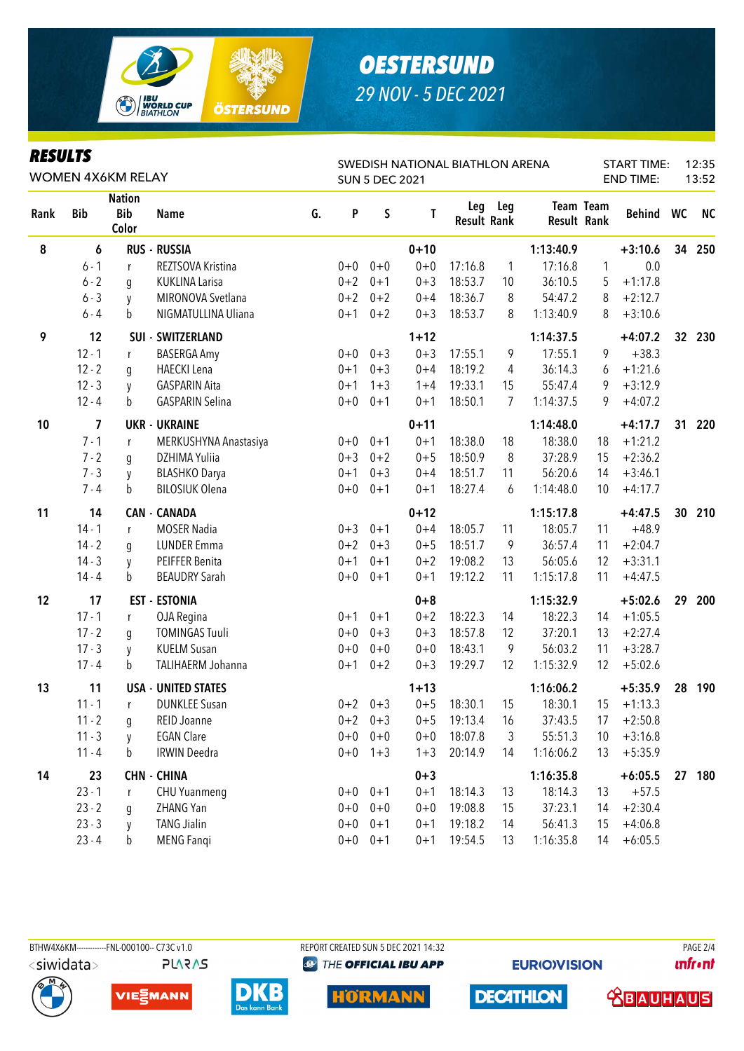

#### **RESULTS**

| <i>KESULIS</i><br>WOMEN 4X6KM RELAY |            |                                      |                            |    | SWEDISH NATIONAL BIATHLON ARENA<br><b>SUN 5 DEC 2021</b> |             |          |                           |              |                    |                  | 12:35<br><b>START TIME:</b><br><b>END TIME:</b><br>13:52 |                 |           |  |  |
|-------------------------------------|------------|--------------------------------------|----------------------------|----|----------------------------------------------------------|-------------|----------|---------------------------|--------------|--------------------|------------------|----------------------------------------------------------|-----------------|-----------|--|--|
| Rank                                | <b>Bib</b> | <b>Nation</b><br><b>Bib</b><br>Color | <b>Name</b>                | G. | P                                                        | $\sf S$     | T        | Leg<br><b>Result Rank</b> | Leg          | <b>Result Rank</b> | <b>Team Team</b> | Behind WC                                                |                 | <b>NC</b> |  |  |
| 8                                   | 6          |                                      | <b>RUS - RUSSIA</b>        |    |                                                          |             | $0 + 10$ |                           |              | 1:13:40.9          |                  | $+3:10.6$                                                | 34              | 250       |  |  |
|                                     | $6 - 1$    | r                                    | REZTSOVA Kristina          |    | $0 + 0$                                                  | $0 + 0$     | $0 + 0$  | 17:16.8                   | $\mathbf{1}$ | 17:16.8            | 1                | 0.0                                                      |                 |           |  |  |
|                                     | $6 - 2$    | g                                    | <b>KUKLINA Larisa</b>      |    | $0 + 2$                                                  | $0 + 1$     | $0 + 3$  | 18:53.7                   | 10           | 36:10.5            | 5                | $+1:17.8$                                                |                 |           |  |  |
|                                     | $6 - 3$    | y                                    | MIRONOVA Svetlana          |    | $0 + 2$                                                  | $0 + 2$     | $0 + 4$  | 18:36.7                   | 8            | 54:47.2            | 8                | $+2:12.7$                                                |                 |           |  |  |
|                                     | $6 - 4$    | b                                    | NIGMATULLINA Uliana        |    | $0 + 1$                                                  | $0 + 2$     | $0 + 3$  | 18:53.7                   | 8            | 1:13:40.9          | 8                | $+3:10.6$                                                |                 |           |  |  |
| 9                                   | 12         |                                      | <b>SUI - SWITZERLAND</b>   |    |                                                          |             | $1 + 12$ |                           |              | 1:14:37.5          |                  | $+4:07.2$                                                | 32 <sup>2</sup> | 230       |  |  |
|                                     | $12 - 1$   | r                                    | <b>BASERGA Amy</b>         |    | $0+0$                                                    | $0 + 3$     | $0 + 3$  | 17:55.1                   | 9            | 17:55.1            | 9                | $+38.3$                                                  |                 |           |  |  |
|                                     | $12 - 2$   | g                                    | <b>HAECKI</b> Lena         |    | $0 + 1$                                                  | $0 + 3$     | $0 + 4$  | 18:19.2                   | 4            | 36:14.3            | 6                | $+1:21.6$                                                |                 |           |  |  |
|                                     | $12 - 3$   | y                                    | <b>GASPARIN Aita</b>       |    | $0 + 1$                                                  | $1 + 3$     | $1 + 4$  | 19:33.1                   | 15           | 55:47.4            | 9                | $+3:12.9$                                                |                 |           |  |  |
|                                     | $12 - 4$   | b                                    | <b>GASPARIN Selina</b>     |    | $0+0$                                                    | $0 + 1$     | $0 + 1$  | 18:50.1                   | 7            | 1:14:37.5          | 9                | $+4:07.2$                                                |                 |           |  |  |
| 10                                  | 7          |                                      | <b>UKR - UKRAINE</b>       |    |                                                          |             | $0 + 11$ |                           |              | 1:14:48.0          |                  | $+4:17.7$                                                | 31              | 220       |  |  |
|                                     | $7 - 1$    | r                                    | MERKUSHYNA Anastasiya      |    | $0+0$                                                    | $0 + 1$     | $0 + 1$  | 18:38.0                   | 18           | 18:38.0            | 18               | $+1:21.2$                                                |                 |           |  |  |
|                                     | $7 - 2$    | g                                    | DZHIMA Yuliia              |    | $0 + 3$                                                  | $0 + 2$     | $0 + 5$  | 18:50.9                   | 8            | 37:28.9            | 15               | $+2:36.2$                                                |                 |           |  |  |
|                                     | $7 - 3$    | y                                    | <b>BLASHKO Darya</b>       |    | $0 + 1$                                                  | $0 + 3$     | $0 + 4$  | 18:51.7                   | 11           | 56:20.6            | 14               | $+3:46.1$                                                |                 |           |  |  |
|                                     | $7 - 4$    | b                                    | <b>BILOSIUK Olena</b>      |    | $0+0$                                                    | $0 + 1$     | $0 + 1$  | 18:27.4                   | 6            | 1:14:48.0          | 10               | $+4:17.7$                                                |                 |           |  |  |
| 11                                  | 14         |                                      | <b>CAN - CANADA</b>        |    |                                                          |             | $0 + 12$ |                           |              | 1:15:17.8          |                  | $+4:47.5$                                                | 30              | 210       |  |  |
|                                     | $14 - 1$   | r                                    | <b>MOSER Nadia</b>         |    | $0 + 3$                                                  | $0 + 1$     | $0 + 4$  | 18:05.7                   | 11           | 18:05.7            | 11               | $+48.9$                                                  |                 |           |  |  |
|                                     | $14 - 2$   | g                                    | <b>LUNDER Emma</b>         |    | $0 + 2$                                                  | $0 + 3$     | $0 + 5$  | 18:51.7                   | 9            | 36:57.4            | 11               | $+2:04.7$                                                |                 |           |  |  |
|                                     | $14 - 3$   | y                                    | PEIFFER Benita             |    | $0 + 1$                                                  | $0 + 1$     | $0 + 2$  | 19:08.2                   | 13           | 56:05.6            | 12               | $+3:31.1$                                                |                 |           |  |  |
|                                     | $14 - 4$   | b                                    | <b>BEAUDRY Sarah</b>       |    | $0+0$                                                    | $0 + 1$     | $0 + 1$  | 19:12.2                   | 11           | 1:15:17.8          | 11               | $+4:47.5$                                                |                 |           |  |  |
| 12                                  | 17         |                                      | <b>EST - ESTONIA</b>       |    |                                                          |             | $0 + 8$  |                           |              | 1:15:32.9          |                  | $+5:02.6$                                                | 29              | 200       |  |  |
|                                     | $17 - 1$   | r                                    | OJA Regina                 |    | $0 + 1$                                                  | $0 + 1$     | $0 + 2$  | 18:22.3                   | 14           | 18:22.3            | 14               | $+1:05.5$                                                |                 |           |  |  |
|                                     | $17 - 2$   | g                                    | <b>TOMINGAS Tuuli</b>      |    | $0+0$                                                    | $0 + 3$     | $0 + 3$  | 18:57.8                   | 12           | 37:20.1            | 13               | $+2:27.4$                                                |                 |           |  |  |
|                                     | $17 - 3$   | y                                    | <b>KUELM Susan</b>         |    | $0 + 0$                                                  | $0 + 0$     | $0 + 0$  | 18:43.1                   | 9            | 56:03.2            | 11               | $+3:28.7$                                                |                 |           |  |  |
|                                     | $17 - 4$   | b                                    | TALIHAERM Johanna          |    | $0 + 1$                                                  | $0 + 2$     | $0 + 3$  | 19:29.7                   | 12           | 1:15:32.9          | 12               | $+5:02.6$                                                |                 |           |  |  |
| 13                                  | 11         |                                      | <b>USA - UNITED STATES</b> |    |                                                          |             | $1 + 13$ |                           |              | 1:16:06.2          |                  | $+5:35.9$                                                | 28              | 190       |  |  |
|                                     | $11 - 1$   | r                                    | <b>DUNKLEE Susan</b>       |    |                                                          | $0+2$ 0+3   | $0 + 5$  | 18:30.1                   | 15           | 18:30.1            | 15               | $+1:13.3$                                                |                 |           |  |  |
|                                     | $11 - 2$   | $\mathfrak g$                        | REID Joanne                |    |                                                          | $0+2$ 0+3   | $0 + 5$  | 19:13.4                   | 16           | 37:43.5            | 17               | $+2:50.8$                                                |                 |           |  |  |
|                                     | $11 - 3$   | y                                    | <b>EGAN Clare</b>          |    | $0+0$                                                    | $0 + 0$     | $0 + 0$  | 18:07.8                   | 3            | 55:51.3            | 10               | $+3:16.8$                                                |                 |           |  |  |
|                                     | $11 - 4$   | $\mathbf b$                          | <b>IRWIN Deedra</b>        |    | $0+0$                                                    | $1 + 3$     | $1 + 3$  | 20:14.9                   | 14           | 1:16:06.2          | 13               | $+5:35.9$                                                |                 |           |  |  |
| 14                                  | 23         |                                      | <b>CHN - CHINA</b>         |    |                                                          |             | $0 + 3$  |                           |              | 1:16:35.8          |                  | $+6:05.5$                                                | 27              | 180       |  |  |
|                                     | $23 - 1$   | r                                    | <b>CHU Yuanmeng</b>        |    |                                                          | $0+0$ $0+1$ | $0 + 1$  | 18:14.3                   | 13           | 18:14.3            | 13               | $+57.5$                                                  |                 |           |  |  |
|                                     | $23 - 2$   | g                                    | ZHANG Yan                  |    | $0+0$                                                    | $0 + 0$     | $0 + 0$  | 19:08.8                   | 15           | 37:23.1            | 14               | $+2:30.4$                                                |                 |           |  |  |
|                                     | $23 - 3$   | y                                    | <b>TANG Jialin</b>         |    | $0+0$                                                    | $0 + 1$     | $0 + 1$  | 19:18.2                   | 14           | 56:41.3            | 15               | $+4:06.8$                                                |                 |           |  |  |
|                                     | $23 - 4$   | $\mathsf b$                          | <b>MENG Fangi</b>          |    | $0+0$                                                    | $0 + 1$     | $0 + 1$  | 19:54.5                   | 13           | 1:16:35.8          | 14               | $+6:05.5$                                                |                 |           |  |  |

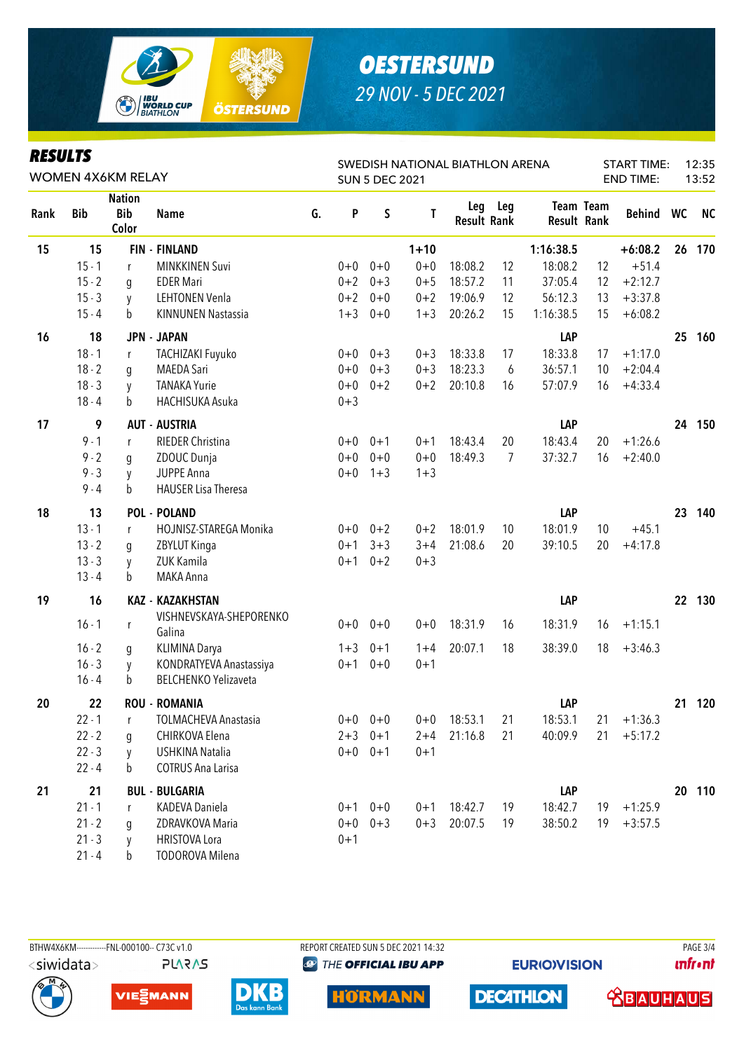

#### **DESIII TS**

|      | nljvli j<br><b>WOMEN 4X6KM RELAY</b> |                                      |                                   |    |         | SWEDISH NATIONAL BIATHLON ARENA<br><b>SUN 5 DEC 2021</b> |          |                    |         |           |                                        |           | <b>START TIME:</b> | 12:35<br>13:52 |  |
|------|--------------------------------------|--------------------------------------|-----------------------------------|----|---------|----------------------------------------------------------|----------|--------------------|---------|-----------|----------------------------------------|-----------|--------------------|----------------|--|
| Rank | <b>Bib</b>                           | <b>Nation</b><br><b>Bib</b><br>Color | <b>Name</b>                       | G. | P       | S                                                        | Т        | <b>Result Rank</b> | Leg Leg |           | <b>Team Team</b><br><b>Result Rank</b> | Behind WC |                    | <b>NC</b>      |  |
| 15   | 15                                   |                                      | <b>FIN - FINLAND</b>              |    |         |                                                          | $1 + 10$ |                    |         | 1:16:38.5 |                                        | $+6:08.2$ | 26                 | 170            |  |
|      | $15 - 1$                             | r                                    | <b>MINKKINEN Suvi</b>             |    |         | $0+0$ 0+0                                                | $0 + 0$  | 18:08.2            | 12      | 18:08.2   | 12                                     | $+51.4$   |                    |                |  |
|      | $15 - 2$                             | q                                    | <b>EDER Mari</b>                  |    | $0 + 2$ | $0 + 3$                                                  | $0 + 5$  | 18:57.2            | 11      | 37:05.4   | 12                                     | $+2:12.7$ |                    |                |  |
|      | $15 - 3$                             | y                                    | <b>LEHTONEN Venla</b>             |    | $0 + 2$ | $0 + 0$                                                  | $0 + 2$  | 19:06.9            | 12      | 56:12.3   | 13                                     | $+3:37.8$ |                    |                |  |
|      | $15 - 4$                             | b                                    | <b>KINNUNEN Nastassia</b>         |    | $1 + 3$ | $0 + 0$                                                  | $1 + 3$  | 20:26.2            | 15      | 1:16:38.5 | 15                                     | $+6:08.2$ |                    |                |  |
| 16   | 18                                   |                                      | <b>JPN - JAPAN</b>                |    |         |                                                          |          |                    |         | LAP       |                                        |           |                    | 25 160         |  |
|      | $18 - 1$                             | $\mathsf{r}$                         | TACHIZAKI Fuyuko                  |    |         | $0+0$ 0+3                                                | $0 + 3$  | 18:33.8            | 17      | 18:33.8   | 17                                     | $+1:17.0$ |                    |                |  |
|      | $18 - 2$                             | g                                    | <b>MAEDA Sari</b>                 |    | $0 + 0$ | $0 + 3$                                                  | $0 + 3$  | 18:23.3            | 6       | 36:57.1   | 10                                     | $+2:04.4$ |                    |                |  |
|      | $18 - 3$                             | y                                    | <b>TANAKA Yurie</b>               |    | $0+0$   | $0 + 2$                                                  | $0 + 2$  | 20:10.8            | 16      | 57:07.9   | 16                                     | $+4:33.4$ |                    |                |  |
|      | $18 - 4$                             | b                                    | HACHISUKA Asuka                   |    | $0 + 3$ |                                                          |          |                    |         |           |                                        |           |                    |                |  |
| 17   | 9                                    |                                      | <b>AUT - AUSTRIA</b>              |    |         |                                                          |          |                    |         | LAP       |                                        |           | 24                 | 150            |  |
|      | $9 - 1$                              | r                                    | RIEDER Christina                  |    |         | $0+0$ 0+1                                                | $0 + 1$  | 18:43.4            | 20      | 18:43.4   | 20                                     | $+1:26.6$ |                    |                |  |
|      | $9 - 2$                              | g                                    | ZDOUC Dunja                       |    | $0+0$   | $0 + 0$                                                  | $0 + 0$  | 18:49.3            | 7       | 37:32.7   | 16                                     | $+2:40.0$ |                    |                |  |
|      | $9 - 3$                              | y                                    | <b>JUPPE Anna</b>                 |    | $0+0$   | $1 + 3$                                                  | $1 + 3$  |                    |         |           |                                        |           |                    |                |  |
|      | $9 - 4$                              | b                                    | <b>HAUSER Lisa Theresa</b>        |    |         |                                                          |          |                    |         |           |                                        |           |                    |                |  |
| 18   | 13                                   |                                      | <b>POL - POLAND</b>               |    |         |                                                          |          |                    |         | LAP       |                                        |           | 23                 | 140            |  |
|      | $13 - 1$                             | r                                    | HOJNISZ-STAREGA Monika            |    |         | $0+0$ $0+2$                                              | $0 + 2$  | 18:01.9            | 10      | 18:01.9   | 10                                     | $+45.1$   |                    |                |  |
|      | $13 - 2$                             | g                                    | ZBYLUT Kinga                      |    | $0 + 1$ | $3 + 3$                                                  | $3 + 4$  | 21:08.6            | 20      | 39:10.5   | 20                                     | $+4:17.8$ |                    |                |  |
|      | $13 - 3$                             | y                                    | ZUK Kamila                        |    | $0 + 1$ | $0 + 2$                                                  | $0 + 3$  |                    |         |           |                                        |           |                    |                |  |
|      | $13 - 4$                             | b                                    | MAKA Anna                         |    |         |                                                          |          |                    |         |           |                                        |           |                    |                |  |
| 19   | 16                                   |                                      | <b>KAZ - KAZAKHSTAN</b>           |    |         |                                                          |          |                    |         | LAP       |                                        |           |                    | 22 130         |  |
|      | $16 - 1$                             | r                                    | VISHNEVSKAYA-SHEPORENKO<br>Galina |    | $0+0$   | $0 + 0$                                                  | $0 + 0$  | 18:31.9            | 16      | 18:31.9   | 16                                     | $+1:15.1$ |                    |                |  |
|      | $16 - 2$                             | g                                    | KLIMINA Darya                     |    | $1 + 3$ | $0 + 1$                                                  | $1 + 4$  | 20:07.1            | 18      | 38:39.0   | 18                                     | $+3:46.3$ |                    |                |  |
|      | $16 - 3$                             | y                                    | KONDRATYEVA Anastassiya           |    | $0 + 1$ | $0 + 0$                                                  | $0 + 1$  |                    |         |           |                                        |           |                    |                |  |
|      | $16 - 4$                             | b                                    | <b>BELCHENKO Yelizaveta</b>       |    |         |                                                          |          |                    |         |           |                                        |           |                    |                |  |
| 20   | 22                                   |                                      | <b>ROU - ROMANIA</b>              |    |         |                                                          |          |                    |         | LAP       |                                        |           | 21                 | 120            |  |
|      | $22 - 1$                             | r                                    | TOLMACHEVA Anastasia              |    |         | $0+0$ 0+0                                                |          | $0+0$ 18:53.1      | 21      | 18:53.1   | 21                                     | $+1:36.3$ |                    |                |  |
|      | $22 - 2$                             | g                                    | CHIRKOVA Elena                    |    |         | $2+3$ 0+1                                                | $2 + 4$  | 21:16.8            | 21      | 40:09.9   | 21                                     | $+5:17.2$ |                    |                |  |
|      | $22 - 3$                             | y                                    | USHKINA Natalia                   |    |         | $0+0$ $0+1$                                              | $0 + 1$  |                    |         |           |                                        |           |                    |                |  |
|      | $22 - 4$                             | b                                    | <b>COTRUS Ana Larisa</b>          |    |         |                                                          |          |                    |         |           |                                        |           |                    |                |  |
| 21   | 21                                   |                                      | <b>BUL - BULGARIA</b>             |    |         |                                                          |          |                    |         | LAP       |                                        |           |                    | 20 110         |  |
|      | $21 - 1$                             | r                                    | KADEVA Daniela                    |    |         | $0+1$ $0+0$                                              | $0 + 1$  | 18:42.7            | 19      | 18:42.7   | 19                                     | $+1:25.9$ |                    |                |  |
|      | $21 - 2$                             | q                                    | ZDRAVKOVA Maria                   |    |         | $0+0$ $0+3$                                              | $0 + 3$  | 20:07.5            | 19      | 38:50.2   | 19                                     | $+3:57.5$ |                    |                |  |
|      | $21 - 3$                             | y                                    | <b>HRISTOVA Lora</b>              |    | $0 + 1$ |                                                          |          |                    |         |           |                                        |           |                    |                |  |
|      | $21 - 4$                             | $\mathbf b$                          | <b>TODOROVA Milena</b>            |    |         |                                                          |          |                    |         |           |                                        |           |                    |                |  |



REPORT CREATED SUN 5 DEC 2021 14:32 **@** THE OFFICIAL IBU APP





**HÖRMANN** 

**EURIO)VISION DECATHLON** 

**PAGE 3/4 unfront**